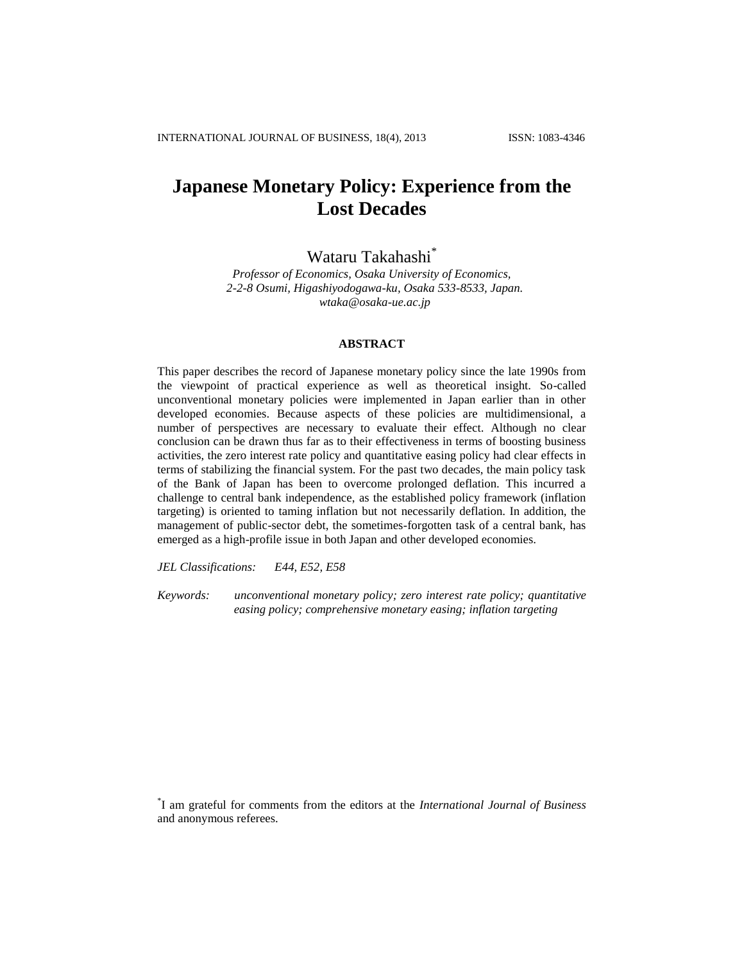# **Japanese Monetary Policy: Experience from the Lost Decades**

Wataru Takahashi\*

*Professor of Economics, Osaka University of Economics, 2-2-8 Osumi, Higashiyodogawa-ku, Osaka 533-8533, Japan. wtaka@osaka-ue.ac.jp*

## **ABSTRACT**

This paper describes the record of Japanese monetary policy since the late 1990s from the viewpoint of practical experience as well as theoretical insight. So-called unconventional monetary policies were implemented in Japan earlier than in other developed economies. Because aspects of these policies are multidimensional, a number of perspectives are necessary to evaluate their effect. Although no clear conclusion can be drawn thus far as to their effectiveness in terms of boosting business activities, the zero interest rate policy and quantitative easing policy had clear effects in terms of stabilizing the financial system. For the past two decades, the main policy task of the Bank of Japan has been to overcome prolonged deflation. This incurred a challenge to central bank independence, as the established policy framework (inflation targeting) is oriented to taming inflation but not necessarily deflation. In addition, the management of public-sector debt, the sometimes-forgotten task of a central bank, has emerged as a high-profile issue in both Japan and other developed economies.

*JEL Classifications: E44, E52, E58*

*Keywords: unconventional monetary policy; zero interest rate policy; quantitative easing policy; comprehensive monetary easing; inflation targeting*

\* I am grateful for comments from the editors at the *International Journal of Business* and anonymous referees.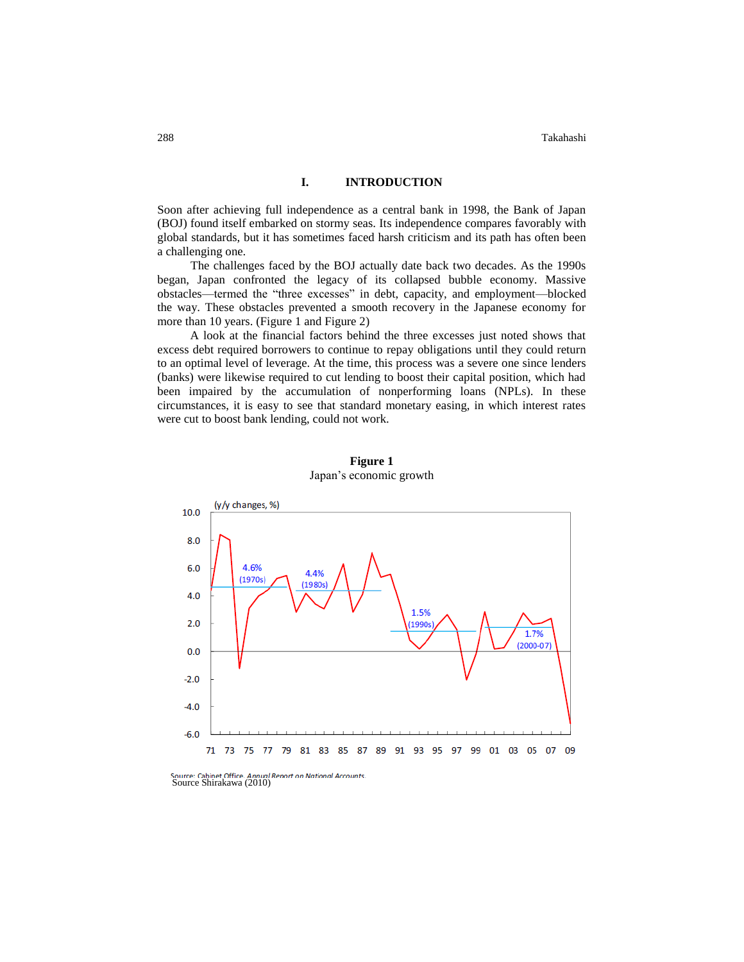### **I. INTRODUCTION**

Soon after achieving full independence as a central bank in 1998, the Bank of Japan (BOJ) found itself embarked on stormy seas. Its independence compares favorably with global standards, but it has sometimes faced harsh criticism and its path has often been a challenging one.

The challenges faced by the BOJ actually date back two decades. As the 1990s began, Japan confronted the legacy of its collapsed bubble economy. Massive obstacles—termed the "three excesses" in debt, capacity, and employment—blocked the way. These obstacles prevented a smooth recovery in the Japanese economy for more than 10 years. (Figure 1 and Figure 2)

A look at the financial factors behind the three excesses just noted shows that excess debt required borrowers to continue to repay obligations until they could return to an optimal level of leverage. At the time, this process was a severe one since lenders (banks) were likewise required to cut lending to boost their capital position, which had been impaired by the accumulation of nonperforming loans (NPLs). In these circumstances, it is easy to see that standard monetary easing, in which interest rates were cut to boost bank lending, could not work.



**Figure 1** Japan's economic growth

Source: Cabinet Office. Annual Report on National Accounts.<br>Source Shirakawa (2010)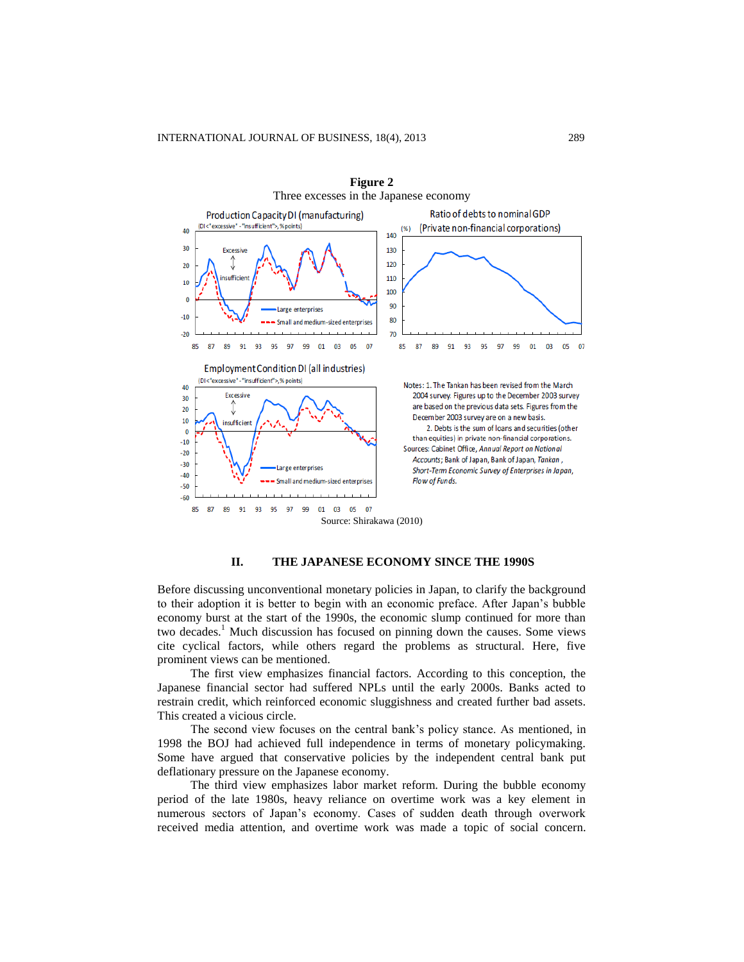

**Figure 2** Three excesses in the Japanese economy

## **II. THE JAPANESE ECONOMY SINCE THE 1990S**

Before discussing unconventional monetary policies in Japan, to clarify the background to their adoption it is better to begin with an economic preface. After Japan's bubble economy burst at the start of the 1990s, the economic slump continued for more than two decades.<sup>1</sup> Much discussion has focused on pinning down the causes. Some views cite cyclical factors, while others regard the problems as structural. Here, five prominent views can be mentioned.

The first view emphasizes financial factors. According to this conception, the Japanese financial sector had suffered NPLs until the early 2000s. Banks acted to restrain credit, which reinforced economic sluggishness and created further bad assets. This created a vicious circle.

The second view focuses on the central bank's policy stance. As mentioned, in 1998 the BOJ had achieved full independence in terms of monetary policymaking. Some have argued that conservative policies by the independent central bank put deflationary pressure on the Japanese economy.

The third view emphasizes labor market reform. During the bubble economy period of the late 1980s, heavy reliance on overtime work was a key element in numerous sectors of Japan's economy. Cases of sudden death through overwork received media attention, and overtime work was made a topic of social concern.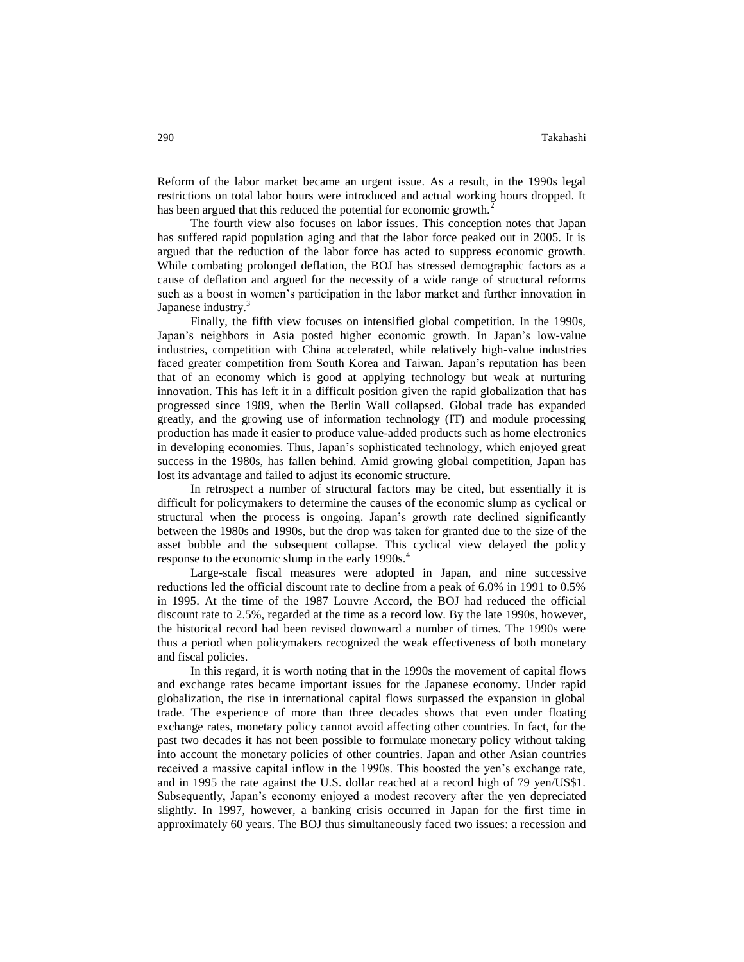Reform of the labor market became an urgent issue. As a result, in the 1990s legal restrictions on total labor hours were introduced and actual working hours dropped. It has been argued that this reduced the potential for economic growth.<sup>2</sup>

The fourth view also focuses on labor issues. This conception notes that Japan has suffered rapid population aging and that the labor force peaked out in 2005. It is argued that the reduction of the labor force has acted to suppress economic growth. While combating prolonged deflation, the BOJ has stressed demographic factors as a cause of deflation and argued for the necessity of a wide range of structural reforms such as a boost in women's participation in the labor market and further innovation in Japanese industry.<sup>3</sup>

Finally, the fifth view focuses on intensified global competition. In the 1990s, Japan's neighbors in Asia posted higher economic growth. In Japan's low-value industries, competition with China accelerated, while relatively high-value industries faced greater competition from South Korea and Taiwan. Japan's reputation has been that of an economy which is good at applying technology but weak at nurturing innovation. This has left it in a difficult position given the rapid globalization that has progressed since 1989, when the Berlin Wall collapsed. Global trade has expanded greatly, and the growing use of information technology (IT) and module processing production has made it easier to produce value-added products such as home electronics in developing economies. Thus, Japan's sophisticated technology, which enjoyed great success in the 1980s, has fallen behind. Amid growing global competition, Japan has lost its advantage and failed to adjust its economic structure.

In retrospect a number of structural factors may be cited, but essentially it is difficult for policymakers to determine the causes of the economic slump as cyclical or structural when the process is ongoing. Japan's growth rate declined significantly between the 1980s and 1990s, but the drop was taken for granted due to the size of the asset bubble and the subsequent collapse. This cyclical view delayed the policy response to the economic slump in the early 1990s.<sup>4</sup>

Large-scale fiscal measures were adopted in Japan, and nine successive reductions led the official discount rate to decline from a peak of 6.0% in 1991 to 0.5% in 1995. At the time of the 1987 Louvre Accord, the BOJ had reduced the official discount rate to 2.5%, regarded at the time as a record low. By the late 1990s, however, the historical record had been revised downward a number of times. The 1990s were thus a period when policymakers recognized the weak effectiveness of both monetary and fiscal policies.

In this regard, it is worth noting that in the 1990s the movement of capital flows and exchange rates became important issues for the Japanese economy. Under rapid globalization, the rise in international capital flows surpassed the expansion in global trade. The experience of more than three decades shows that even under floating exchange rates, monetary policy cannot avoid affecting other countries. In fact, for the past two decades it has not been possible to formulate monetary policy without taking into account the monetary policies of other countries. Japan and other Asian countries received a massive capital inflow in the 1990s. This boosted the yen's exchange rate, and in 1995 the rate against the U.S. dollar reached at a record high of 79 yen/US\$1. Subsequently, Japan's economy enjoyed a modest recovery after the yen depreciated slightly. In 1997, however, a banking crisis occurred in Japan for the first time in approximately 60 years. The BOJ thus simultaneously faced two issues: a recession and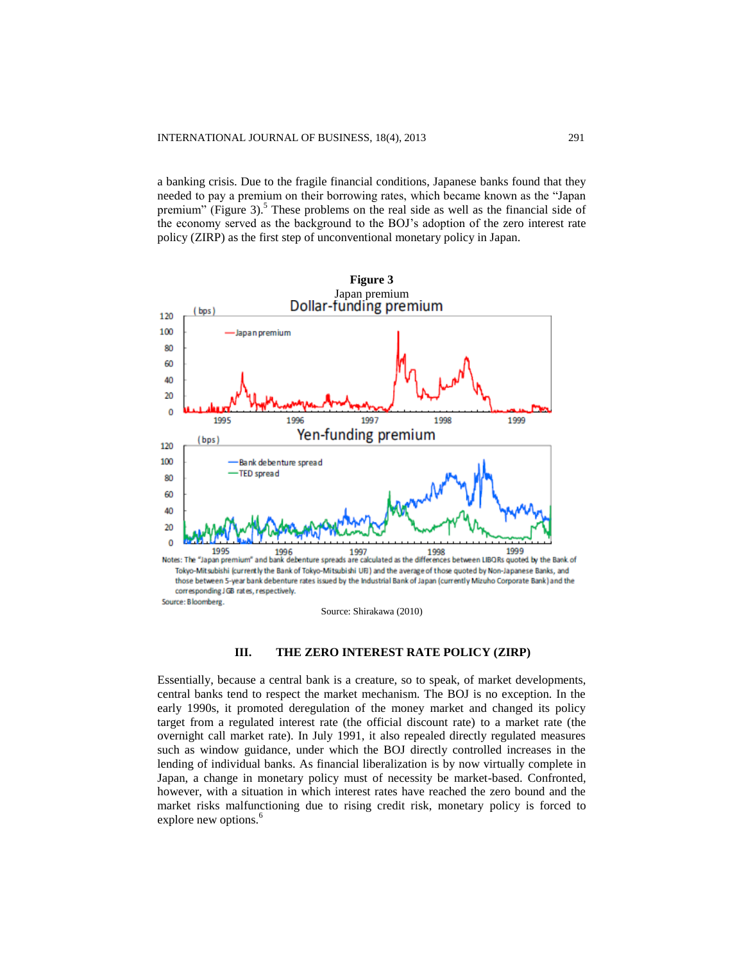a banking crisis. Due to the fragile financial conditions, Japanese banks found that they needed to pay a premium on their borrowing rates, which became known as the "Japan premium" (Figure 3).<sup>5</sup> These problems on the real side as well as the financial side of the economy served as the background to the BOJ's adoption of the zero interest rate policy (ZIRP) as the first step of unconventional monetary policy in Japan.



## **III. THE ZERO INTEREST RATE POLICY (ZIRP)**

Essentially, because a central bank is a creature, so to speak, of market developments, central banks tend to respect the market mechanism. The BOJ is no exception. In the early 1990s, it promoted deregulation of the money market and changed its policy target from a regulated interest rate (the official discount rate) to a market rate (the overnight call market rate). In July 1991, it also repealed directly regulated measures such as window guidance, under which the BOJ directly controlled increases in the lending of individual banks. As financial liberalization is by now virtually complete in Japan, a change in monetary policy must of necessity be market-based. Confronted, however, with a situation in which interest rates have reached the zero bound and the market risks malfunctioning due to rising credit risk, monetary policy is forced to explore new options.<sup>6</sup>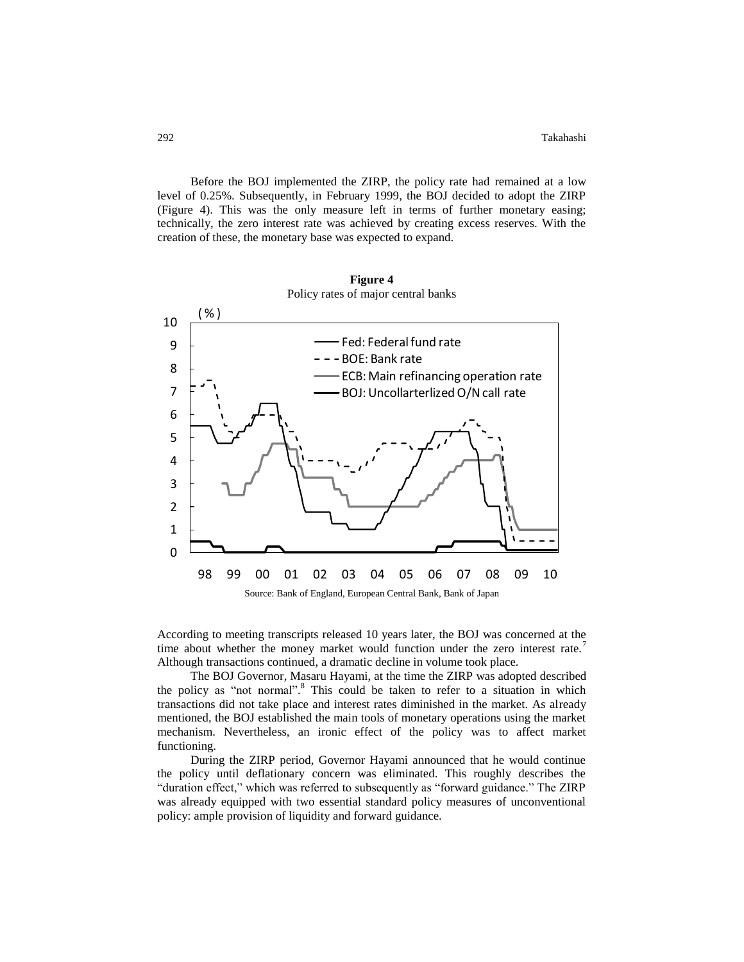Before the BOJ implemented the ZIRP, the policy rate had remained at a low level of 0.25%. Subsequently, in February 1999, the BOJ decided to adopt the ZIRP (Figure 4). This was the only measure left in terms of further monetary easing; technically, the zero interest rate was achieved by creating excess reserves. With the creation of these, the monetary base was expected to expand.



According to meeting transcripts released 10 years later, the BOJ was concerned at the time about whether the money market would function under the zero interest rate.<sup>7</sup> Although transactions continued, a dramatic decline in volume took place.

The BOJ Governor, Masaru Hayami, at the time the ZIRP was adopted described the policy as "not normal".<sup>8</sup> This could be taken to refer to a situation in which transactions did not take place and interest rates diminished in the market. As already mentioned, the BOJ established the main tools of monetary operations using the market mechanism. Nevertheless, an ironic effect of the policy was to affect market functioning.

During the ZIRP period, Governor Hayami announced that he would continue the policy until deflationary concern was eliminated. This roughly describes the "duration effect," which was referred to subsequently as "forward guidance." The ZIRP was already equipped with two essential standard policy measures of unconventional policy: ample provision of liquidity and forward guidance.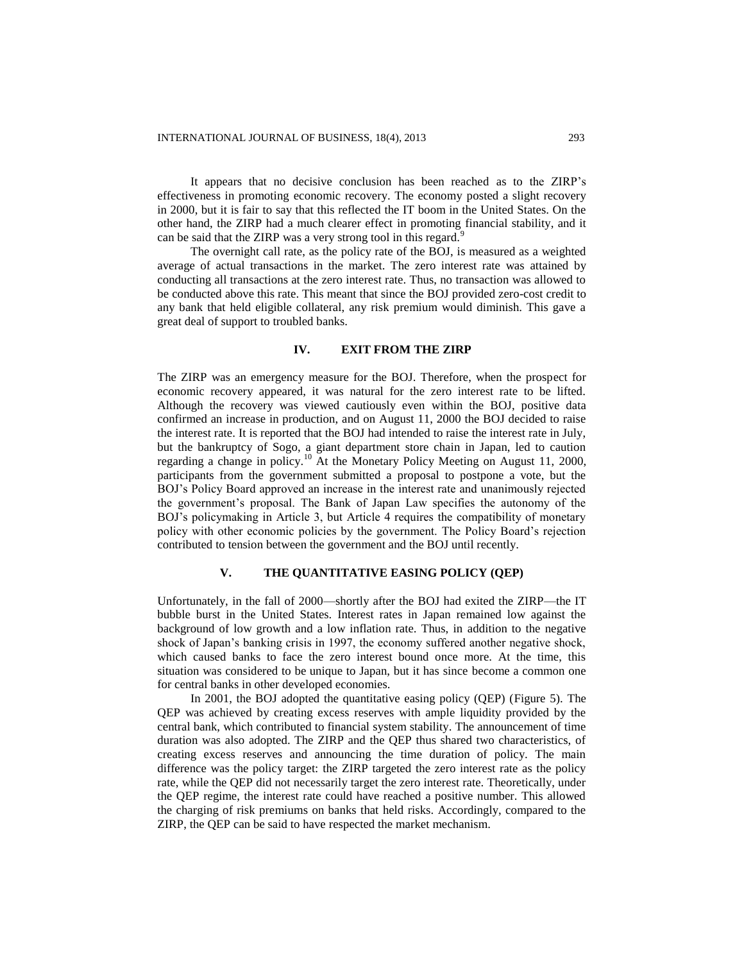It appears that no decisive conclusion has been reached as to the ZIRP's effectiveness in promoting economic recovery. The economy posted a slight recovery in 2000, but it is fair to say that this reflected the IT boom in the United States. On the other hand, the ZIRP had a much clearer effect in promoting financial stability, and it can be said that the ZIRP was a very strong tool in this regard.<sup>9</sup>

The overnight call rate, as the policy rate of the BOJ, is measured as a weighted average of actual transactions in the market. The zero interest rate was attained by conducting all transactions at the zero interest rate. Thus, no transaction was allowed to be conducted above this rate. This meant that since the BOJ provided zero-cost credit to any bank that held eligible collateral, any risk premium would diminish. This gave a great deal of support to troubled banks.

## **IV. EXIT FROM THE ZIRP**

The ZIRP was an emergency measure for the BOJ. Therefore, when the prospect for economic recovery appeared, it was natural for the zero interest rate to be lifted. Although the recovery was viewed cautiously even within the BOJ, positive data confirmed an increase in production, and on August 11, 2000 the BOJ decided to raise the interest rate. It is reported that the BOJ had intended to raise the interest rate in July, but the bankruptcy of Sogo, a giant department store chain in Japan, led to caution regarding a change in policy.<sup>10</sup> At the Monetary Policy Meeting on August 11, 2000, participants from the government submitted a proposal to postpone a vote, but the BOJ's Policy Board approved an increase in the interest rate and unanimously rejected the government's proposal. The Bank of Japan Law specifies the autonomy of the BOJ's policymaking in Article 3, but Article 4 requires the compatibility of monetary policy with other economic policies by the government. The Policy Board's rejection contributed to tension between the government and the BOJ until recently.

## **V. THE QUANTITATIVE EASING POLICY (QEP)**

Unfortunately, in the fall of 2000—shortly after the BOJ had exited the ZIRP—the IT bubble burst in the United States. Interest rates in Japan remained low against the background of low growth and a low inflation rate. Thus, in addition to the negative shock of Japan's banking crisis in 1997, the economy suffered another negative shock, which caused banks to face the zero interest bound once more. At the time, this situation was considered to be unique to Japan, but it has since become a common one for central banks in other developed economies.

In 2001, the BOJ adopted the quantitative easing policy (QEP) (Figure 5). The QEP was achieved by creating excess reserves with ample liquidity provided by the central bank, which contributed to financial system stability. The announcement of time duration was also adopted. The ZIRP and the QEP thus shared two characteristics, of creating excess reserves and announcing the time duration of policy. The main difference was the policy target: the ZIRP targeted the zero interest rate as the policy rate, while the QEP did not necessarily target the zero interest rate. Theoretically, under the QEP regime, the interest rate could have reached a positive number. This allowed the charging of risk premiums on banks that held risks. Accordingly, compared to the ZIRP, the QEP can be said to have respected the market mechanism.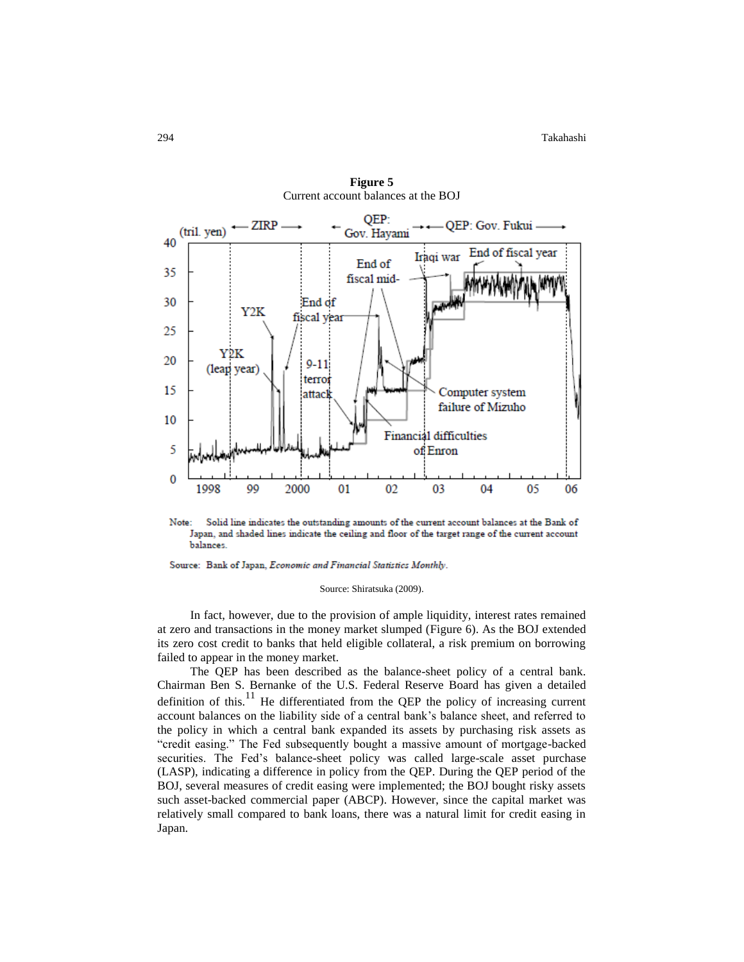

**Figure 5** Current account balances at the BOJ

Note: Solid line indicates the outstanding amounts of the current account balances at the Bank of Japan, and shaded lines indicate the ceiling and floor of the target range of the current account balances.

Source: Bank of Japan, Economic and Financial Statistics Monthly.

#### Source: Shiratsuka (2009).

In fact, however, due to the provision of ample liquidity, interest rates remained at zero and transactions in the money market slumped (Figure 6). As the BOJ extended its zero cost credit to banks that held eligible collateral, a risk premium on borrowing failed to appear in the money market.

The QEP has been described as the balance-sheet policy of a central bank. Chairman Ben S. Bernanke of the U.S. Federal Reserve Board has given a detailed definition of this.<sup>11</sup> He differentiated from the QEP the policy of increasing current account balances on the liability side of a central bank's balance sheet, and referred to the policy in which a central bank expanded its assets by purchasing risk assets as "credit easing." The Fed subsequently bought a massive amount of mortgage-backed securities. The Fed's balance-sheet policy was called large-scale asset purchase (LASP), indicating a difference in policy from the QEP. During the QEP period of the BOJ, several measures of credit easing were implemented; the BOJ bought risky assets such asset-backed commercial paper (ABCP). However, since the capital market was relatively small compared to bank loans, there was a natural limit for credit easing in Japan.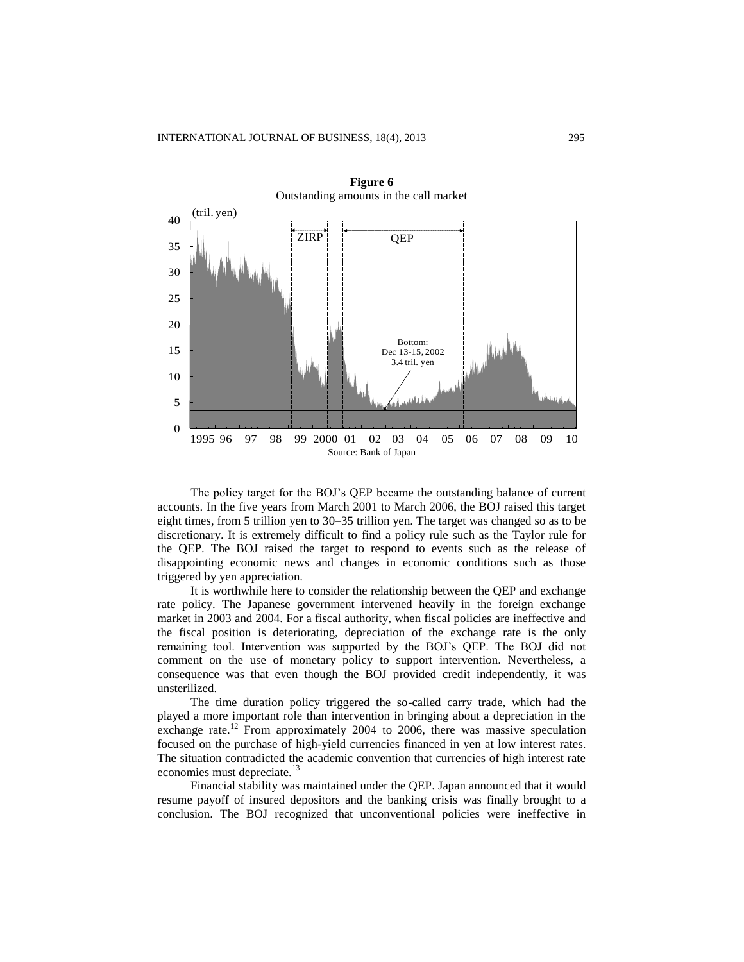

**Figure 6** Outstanding amounts in the call market

The policy target for the BOJ's QEP became the outstanding balance of current accounts. In the five years from March 2001 to March 2006, the BOJ raised this target eight times, from 5 trillion yen to 30–35 trillion yen. The target was changed so as to be discretionary. It is extremely difficult to find a policy rule such as the Taylor rule for the QEP. The BOJ raised the target to respond to events such as the release of disappointing economic news and changes in economic conditions such as those triggered by yen appreciation.

It is worthwhile here to consider the relationship between the QEP and exchange rate policy. The Japanese government intervened heavily in the foreign exchange market in 2003 and 2004. For a fiscal authority, when fiscal policies are ineffective and the fiscal position is deteriorating, depreciation of the exchange rate is the only remaining tool. Intervention was supported by the BOJ's QEP. The BOJ did not comment on the use of monetary policy to support intervention. Nevertheless, a consequence was that even though the BOJ provided credit independently, it was unsterilized.

The time duration policy triggered the so-called carry trade, which had the played a more important role than intervention in bringing about a depreciation in the exchange rate.<sup>12</sup> From approximately 2004 to 2006, there was massive speculation focused on the purchase of high-yield currencies financed in yen at low interest rates. The situation contradicted the academic convention that currencies of high interest rate economies must depreciate.<sup>13</sup>

Financial stability was maintained under the QEP. Japan announced that it would resume payoff of insured depositors and the banking crisis was finally brought to a conclusion. The BOJ recognized that unconventional policies were ineffective in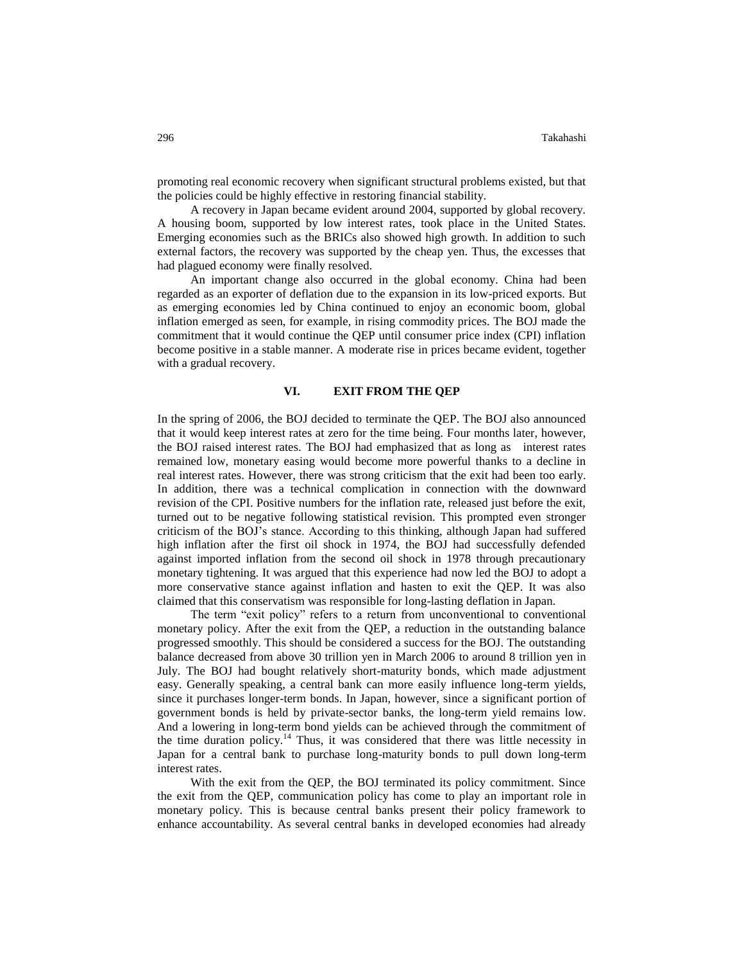promoting real economic recovery when significant structural problems existed, but that the policies could be highly effective in restoring financial stability.

A recovery in Japan became evident around 2004, supported by global recovery. A housing boom, supported by low interest rates, took place in the United States. Emerging economies such as the BRICs also showed high growth. In addition to such external factors, the recovery was supported by the cheap yen. Thus, the excesses that had plagued economy were finally resolved.

An important change also occurred in the global economy. China had been regarded as an exporter of deflation due to the expansion in its low-priced exports. But as emerging economies led by China continued to enjoy an economic boom, global inflation emerged as seen, for example, in rising commodity prices. The BOJ made the commitment that it would continue the QEP until consumer price index (CPI) inflation become positive in a stable manner. A moderate rise in prices became evident, together with a gradual recovery.

## **VI. EXIT FROM THE QEP**

In the spring of 2006, the BOJ decided to terminate the QEP. The BOJ also announced that it would keep interest rates at zero for the time being. Four months later, however, the BOJ raised interest rates. The BOJ had emphasized that as long as interest rates remained low, monetary easing would become more powerful thanks to a decline in real interest rates. However, there was strong criticism that the exit had been too early. In addition, there was a technical complication in connection with the downward revision of the CPI. Positive numbers for the inflation rate, released just before the exit, turned out to be negative following statistical revision. This prompted even stronger criticism of the BOJ's stance. According to this thinking, although Japan had suffered high inflation after the first oil shock in 1974, the BOJ had successfully defended against imported inflation from the second oil shock in 1978 through precautionary monetary tightening. It was argued that this experience had now led the BOJ to adopt a more conservative stance against inflation and hasten to exit the QEP. It was also claimed that this conservatism was responsible for long-lasting deflation in Japan.

The term "exit policy" refers to a return from unconventional to conventional monetary policy. After the exit from the QEP, a reduction in the outstanding balance progressed smoothly. This should be considered a success for the BOJ. The outstanding balance decreased from above 30 trillion yen in March 2006 to around 8 trillion yen in July. The BOJ had bought relatively short-maturity bonds, which made adjustment easy. Generally speaking, a central bank can more easily influence long-term yields, since it purchases longer-term bonds. In Japan, however, since a significant portion of government bonds is held by private-sector banks, the long-term yield remains low. And a lowering in long-term bond yields can be achieved through the commitment of the time duration policy.<sup>14</sup> Thus, it was considered that there was little necessity in Japan for a central bank to purchase long-maturity bonds to pull down long-term interest rates.

With the exit from the QEP, the BOJ terminated its policy commitment. Since the exit from the QEP, communication policy has come to play an important role in monetary policy. This is because central banks present their policy framework to enhance accountability. As several central banks in developed economies had already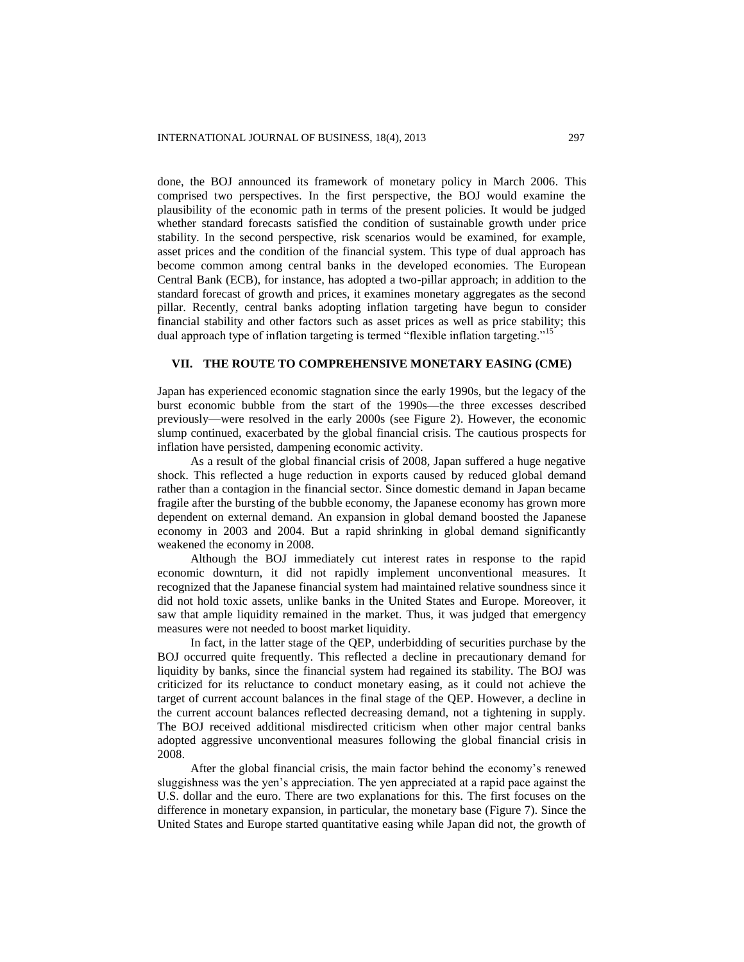done, the BOJ announced its framework of monetary policy in March 2006. This comprised two perspectives. In the first perspective, the BOJ would examine the plausibility of the economic path in terms of the present policies. It would be judged whether standard forecasts satisfied the condition of sustainable growth under price stability. In the second perspective, risk scenarios would be examined, for example, asset prices and the condition of the financial system. This type of dual approach has become common among central banks in the developed economies. The European Central Bank (ECB), for instance, has adopted a two-pillar approach; in addition to the standard forecast of growth and prices, it examines monetary aggregates as the second pillar. Recently, central banks adopting inflation targeting have begun to consider financial stability and other factors such as asset prices as well as price stability; this dual approach type of inflation targeting is termed "flexible inflation targeting."<sup>15</sup>

## **VII. THE ROUTE TO COMPREHENSIVE MONETARY EASING (CME)**

Japan has experienced economic stagnation since the early 1990s, but the legacy of the burst economic bubble from the start of the 1990s—the three excesses described previously—were resolved in the early 2000s (see Figure 2). However, the economic slump continued, exacerbated by the global financial crisis. The cautious prospects for inflation have persisted, dampening economic activity.

As a result of the global financial crisis of 2008, Japan suffered a huge negative shock. This reflected a huge reduction in exports caused by reduced global demand rather than a contagion in the financial sector. Since domestic demand in Japan became fragile after the bursting of the bubble economy, the Japanese economy has grown more dependent on external demand. An expansion in global demand boosted the Japanese economy in 2003 and 2004. But a rapid shrinking in global demand significantly weakened the economy in 2008.

Although the BOJ immediately cut interest rates in response to the rapid economic downturn, it did not rapidly implement unconventional measures. It recognized that the Japanese financial system had maintained relative soundness since it did not hold toxic assets, unlike banks in the United States and Europe. Moreover, it saw that ample liquidity remained in the market. Thus, it was judged that emergency measures were not needed to boost market liquidity.

In fact, in the latter stage of the QEP, underbidding of securities purchase by the BOJ occurred quite frequently. This reflected a decline in precautionary demand for liquidity by banks, since the financial system had regained its stability. The BOJ was criticized for its reluctance to conduct monetary easing, as it could not achieve the target of current account balances in the final stage of the QEP. However, a decline in the current account balances reflected decreasing demand, not a tightening in supply. The BOJ received additional misdirected criticism when other major central banks adopted aggressive unconventional measures following the global financial crisis in 2008.

After the global financial crisis, the main factor behind the economy's renewed sluggishness was the yen's appreciation. The yen appreciated at a rapid pace against the U.S. dollar and the euro. There are two explanations for this. The first focuses on the difference in monetary expansion, in particular, the monetary base (Figure 7). Since the United States and Europe started quantitative easing while Japan did not, the growth of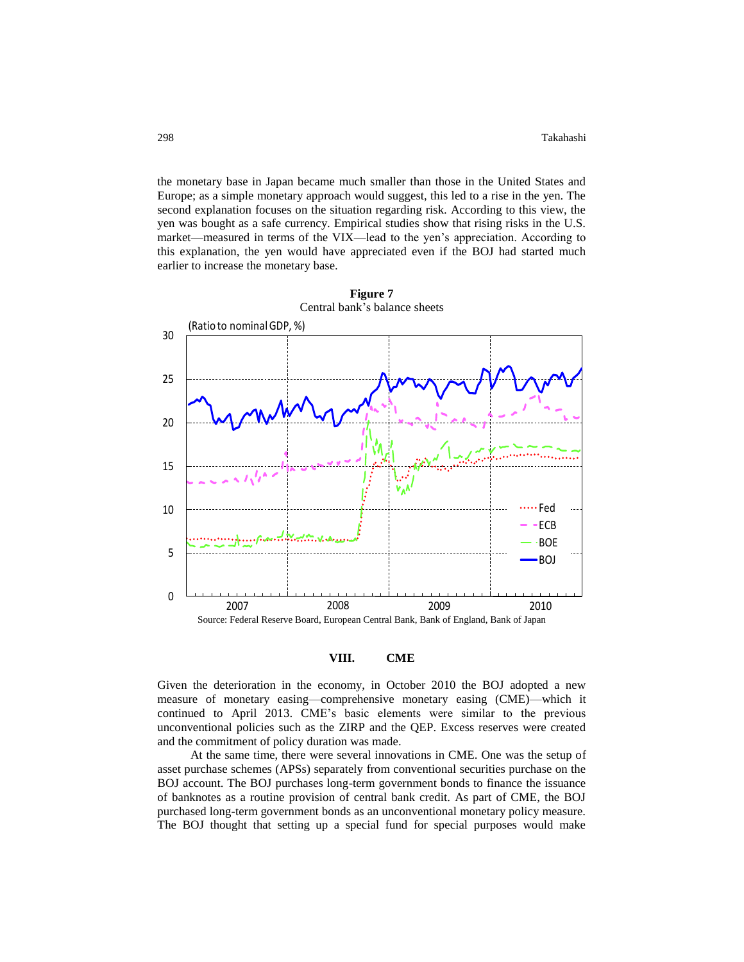the monetary base in Japan became much smaller than those in the United States and Europe; as a simple monetary approach would suggest, this led to a rise in the yen. The second explanation focuses on the situation regarding risk. According to this view, the yen was bought as a safe currency. Empirical studies show that rising risks in the U.S. market—measured in terms of the VIX—lead to the yen's appreciation. According to this explanation, the yen would have appreciated even if the BOJ had started much earlier to increase the monetary base.





### **VIII. CME**

Given the deterioration in the economy, in October 2010 the BOJ adopted a new measure of monetary easing—comprehensive monetary easing (CME)—which it continued to April 2013. CME's basic elements were similar to the previous unconventional policies such as the ZIRP and the QEP. Excess reserves were created and the commitment of policy duration was made.

At the same time, there were several innovations in CME. One was the setup of asset purchase schemes (APSs) separately from conventional securities purchase on the BOJ account. The BOJ purchases long-term government bonds to finance the issuance of banknotes as a routine provision of central bank credit. As part of CME, the BOJ purchased long-term government bonds as an unconventional monetary policy measure. The BOJ thought that setting up a special fund for special purposes would make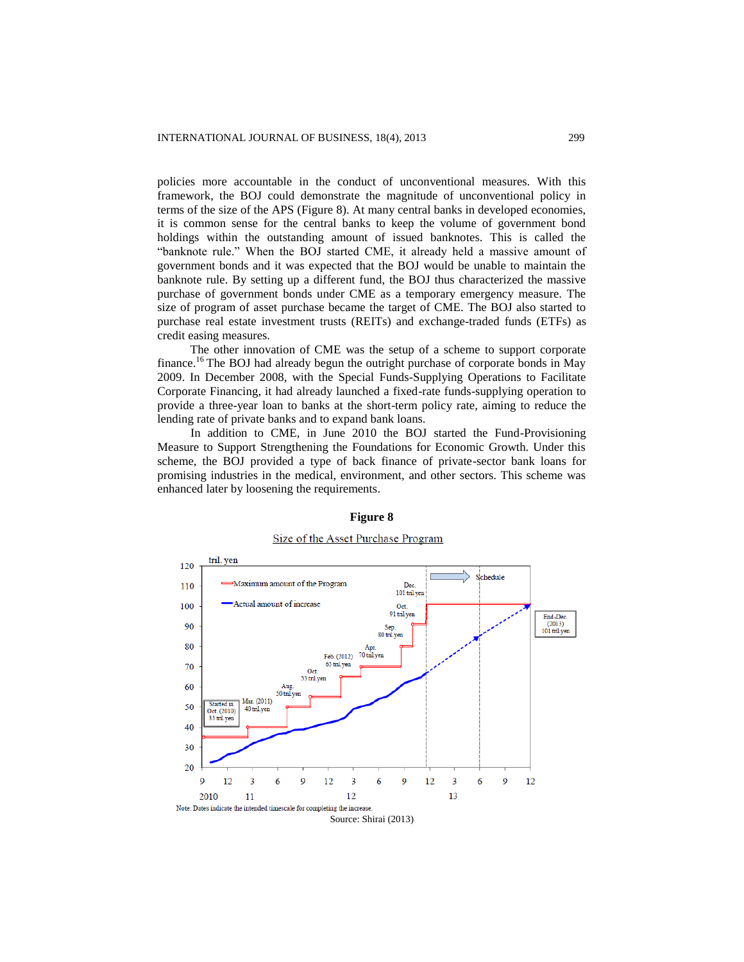policies more accountable in the conduct of unconventional measures. With this framework, the BOJ could demonstrate the magnitude of unconventional policy in terms of the size of the APS (Figure 8). At many central banks in developed economies, it is common sense for the central banks to keep the volume of government bond holdings within the outstanding amount of issued banknotes. This is called the "banknote rule." When the BOJ started CME, it already held a massive amount of government bonds and it was expected that the BOJ would be unable to maintain the banknote rule. By setting up a different fund, the BOJ thus characterized the massive purchase of government bonds under CME as a temporary emergency measure. The size of program of asset purchase became the target of CME. The BOJ also started to purchase real estate investment trusts (REITs) and exchange-traded funds (ETFs) as credit easing measures.

The other innovation of CME was the setup of a scheme to support corporate finance.<sup>16</sup> The BOJ had already begun the outright purchase of corporate bonds in May 2009. In December 2008, with the Special Funds-Supplying Operations to Facilitate Corporate Financing, it had already launched a fixed-rate funds-supplying operation to provide a three-year loan to banks at the short-term policy rate, aiming to reduce the lending rate of private banks and to expand bank loans.

In addition to CME, in June 2010 the BOJ started the Fund-Provisioning Measure to Support Strengthening the Foundations for Economic Growth. Under this scheme, the BOJ provided a type of back finance of private-sector bank loans for promising industries in the medical, environment, and other sectors. This scheme was enhanced later by loosening the requirements.



## **Figure 8**

### Size of the Asset Purchase Program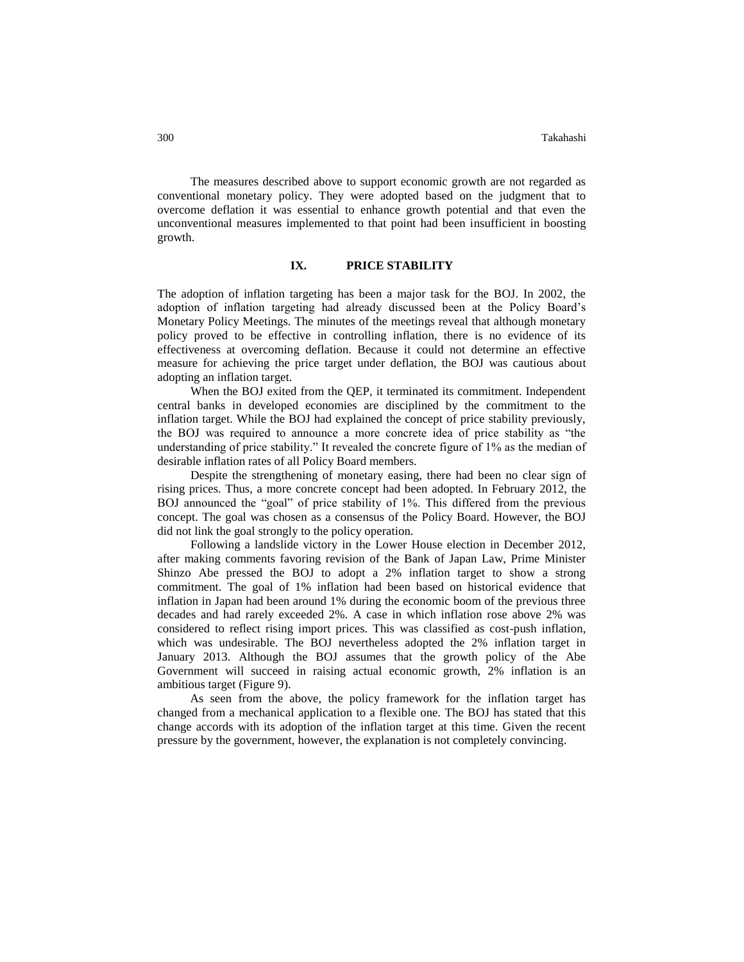The measures described above to support economic growth are not regarded as conventional monetary policy. They were adopted based on the judgment that to overcome deflation it was essential to enhance growth potential and that even the unconventional measures implemented to that point had been insufficient in boosting growth.

#### **IX. PRICE STABILITY**

The adoption of inflation targeting has been a major task for the BOJ. In 2002, the adoption of inflation targeting had already discussed been at the Policy Board's Monetary Policy Meetings. The minutes of the meetings reveal that although monetary policy proved to be effective in controlling inflation, there is no evidence of its effectiveness at overcoming deflation. Because it could not determine an effective measure for achieving the price target under deflation, the BOJ was cautious about adopting an inflation target.

When the BOJ exited from the QEP, it terminated its commitment. Independent central banks in developed economies are disciplined by the commitment to the inflation target. While the BOJ had explained the concept of price stability previously, the BOJ was required to announce a more concrete idea of price stability as "the understanding of price stability." It revealed the concrete figure of 1% as the median of desirable inflation rates of all Policy Board members.

Despite the strengthening of monetary easing, there had been no clear sign of rising prices. Thus, a more concrete concept had been adopted. In February 2012, the BOJ announced the "goal" of price stability of 1%. This differed from the previous concept. The goal was chosen as a consensus of the Policy Board. However, the BOJ did not link the goal strongly to the policy operation.

Following a landslide victory in the Lower House election in December 2012, after making comments favoring revision of the Bank of Japan Law, Prime Minister Shinzo Abe pressed the BOJ to adopt a 2% inflation target to show a strong commitment. The goal of 1% inflation had been based on historical evidence that inflation in Japan had been around 1% during the economic boom of the previous three decades and had rarely exceeded 2%. A case in which inflation rose above 2% was considered to reflect rising import prices. This was classified as cost-push inflation, which was undesirable. The BOJ nevertheless adopted the 2% inflation target in January 2013. Although the BOJ assumes that the growth policy of the Abe Government will succeed in raising actual economic growth, 2% inflation is an ambitious target (Figure 9).

As seen from the above, the policy framework for the inflation target has changed from a mechanical application to a flexible one. The BOJ has stated that this change accords with its adoption of the inflation target at this time. Given the recent pressure by the government, however, the explanation is not completely convincing.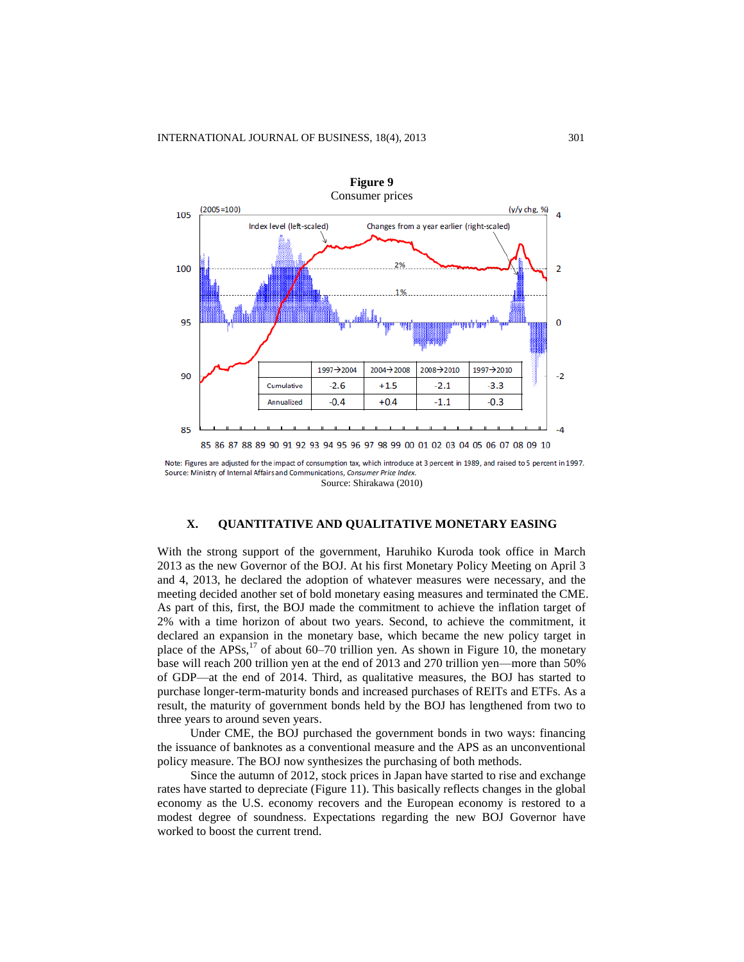

Note: Figures are adjusted for the impact of consumption tax, which introduce at 3 percent in 1989, and raised to 5 percent in 1997. Source: Ministry of Internal Affairs and Communications, Consumer Price Index. Source: Shirakawa (2010)

## **X. QUANTITATIVE AND QUALITATIVE MONETARY EASING**

With the strong support of the government, Haruhiko Kuroda took office in March 2013 as the new Governor of the BOJ. At his first Monetary Policy Meeting on April 3 and 4, 2013, he declared the adoption of whatever measures were necessary, and the meeting decided another set of bold monetary easing measures and terminated the CME. As part of this, first, the BOJ made the commitment to achieve the inflation target of 2% with a time horizon of about two years. Second, to achieve the commitment, it declared an expansion in the monetary base, which became the new policy target in place of the  $APSS$ ,<sup>17</sup> of about 60–70 trillion yen. As shown in Figure 10, the monetary base will reach 200 trillion yen at the end of 2013 and 270 trillion yen—more than 50% of GDP—at the end of 2014. Third, as qualitative measures, the BOJ has started to purchase longer-term-maturity bonds and increased purchases of REITs and ETFs. As a result, the maturity of government bonds held by the BOJ has lengthened from two to three years to around seven years.

Under CME, the BOJ purchased the government bonds in two ways: financing the issuance of banknotes as a conventional measure and the APS as an unconventional policy measure. The BOJ now synthesizes the purchasing of both methods.

Since the autumn of 2012, stock prices in Japan have started to rise and exchange rates have started to depreciate (Figure 11). This basically reflects changes in the global economy as the U.S. economy recovers and the European economy is restored to a modest degree of soundness. Expectations regarding the new BOJ Governor have worked to boost the current trend.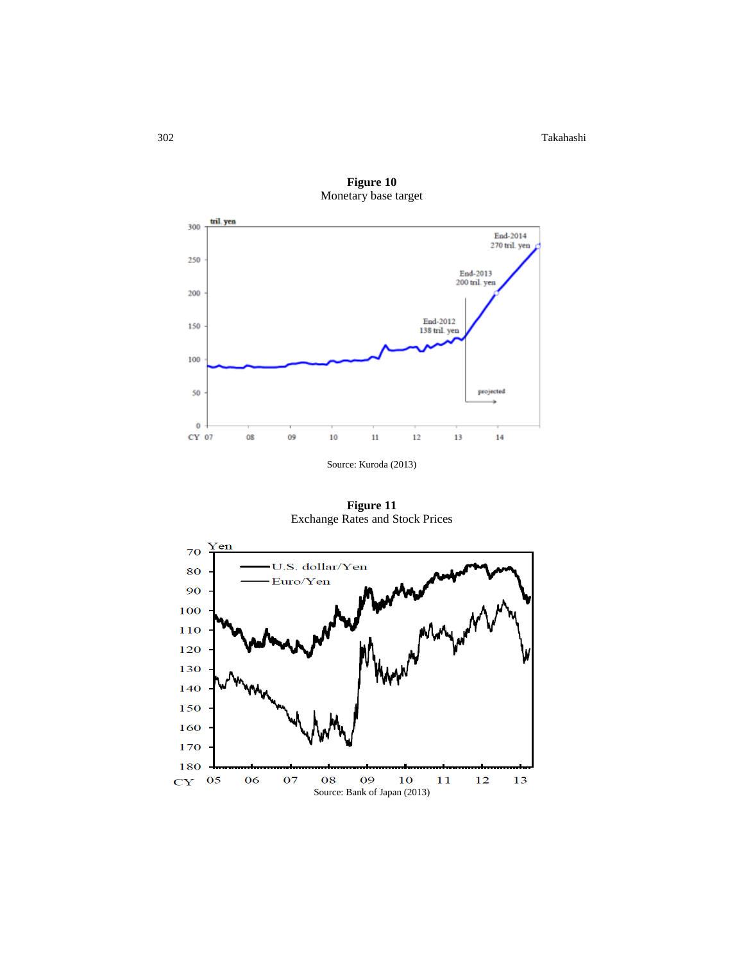302 Takahashi



**Figure 10** Monetary base target

Source: Kuroda (2013)

**Figure 11** Exchange Rates and Stock Prices

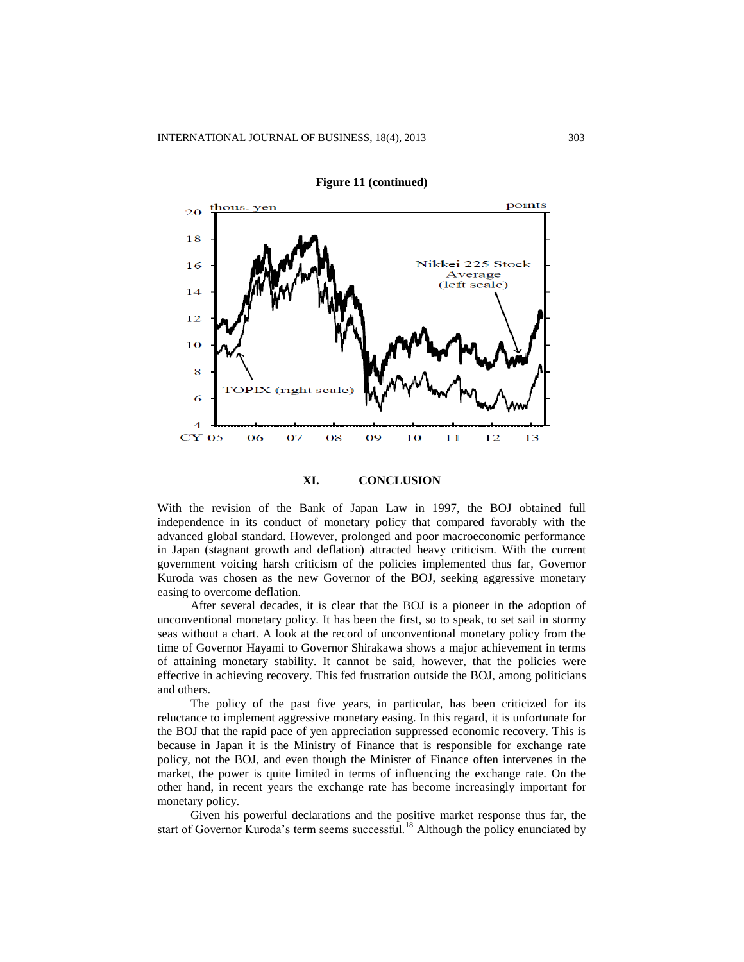

**Figure 11 (continued)**

**XI. CONCLUSION**

With the revision of the Bank of Japan Law in 1997, the BOJ obtained full independence in its conduct of monetary policy that compared favorably with the advanced global standard. However, prolonged and poor macroeconomic performance in Japan (stagnant growth and deflation) attracted heavy criticism. With the current government voicing harsh criticism of the policies implemented thus far, Governor Kuroda was chosen as the new Governor of the BOJ, seeking aggressive monetary easing to overcome deflation.

After several decades, it is clear that the BOJ is a pioneer in the adoption of unconventional monetary policy. It has been the first, so to speak, to set sail in stormy seas without a chart. A look at the record of unconventional monetary policy from the time of Governor Hayami to Governor Shirakawa shows a major achievement in terms of attaining monetary stability. It cannot be said, however, that the policies were effective in achieving recovery. This fed frustration outside the BOJ, among politicians and others.

The policy of the past five years, in particular, has been criticized for its reluctance to implement aggressive monetary easing. In this regard, it is unfortunate for the BOJ that the rapid pace of yen appreciation suppressed economic recovery. This is because in Japan it is the Ministry of Finance that is responsible for exchange rate policy, not the BOJ, and even though the Minister of Finance often intervenes in the market, the power is quite limited in terms of influencing the exchange rate. On the other hand, in recent years the exchange rate has become increasingly important for monetary policy.

Given his powerful declarations and the positive market response thus far, the start of Governor Kuroda's term seems successful.<sup>18</sup> Although the policy enunciated by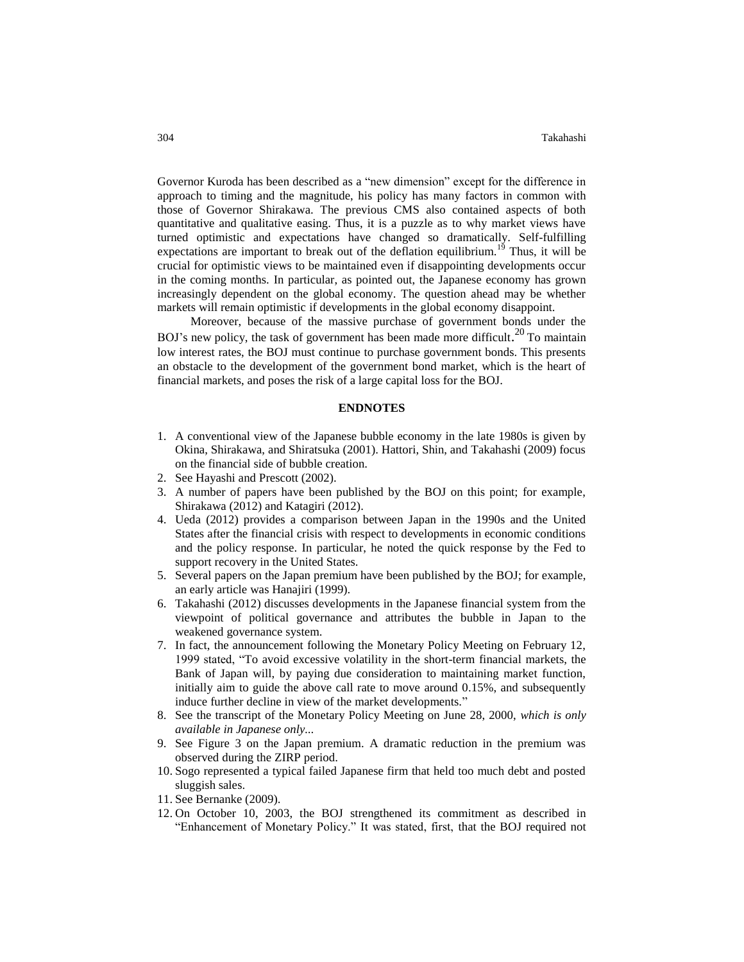Governor Kuroda has been described as a "new dimension" except for the difference in approach to timing and the magnitude, his policy has many factors in common with those of Governor Shirakawa. The previous CMS also contained aspects of both quantitative and qualitative easing. Thus, it is a puzzle as to why market views have turned optimistic and expectations have changed so dramatically. Self-fulfilling expectations are important to break out of the deflation equilibrium.<sup>19</sup> Thus, it will be crucial for optimistic views to be maintained even if disappointing developments occur in the coming months. In particular, as pointed out, the Japanese economy has grown increasingly dependent on the global economy. The question ahead may be whether markets will remain optimistic if developments in the global economy disappoint.

Moreover, because of the massive purchase of government bonds under the BOJ's new policy, the task of government has been made more difficult.<sup>20</sup> To maintain low interest rates, the BOJ must continue to purchase government bonds. This presents an obstacle to the development of the government bond market, which is the heart of financial markets, and poses the risk of a large capital loss for the BOJ.

#### **ENDNOTES**

- 1. A conventional view of the Japanese bubble economy in the late 1980s is given by Okina, Shirakawa, and Shiratsuka (2001). Hattori, Shin, and Takahashi (2009) focus on the financial side of bubble creation.
- 2. See Hayashi and Prescott (2002).
- 3. A number of papers have been published by the BOJ on this point; for example, Shirakawa (2012) and Katagiri (2012).
- 4. Ueda (2012) provides a comparison between Japan in the 1990s and the United States after the financial crisis with respect to developments in economic conditions and the policy response. In particular, he noted the quick response by the Fed to support recovery in the United States.
- 5. Several papers on the Japan premium have been published by the BOJ; for example, an early article was Hanajiri (1999).
- 6. Takahashi (2012) discusses developments in the Japanese financial system from the viewpoint of political governance and attributes the bubble in Japan to the weakened governance system.
- 7. In fact, the announcement following the Monetary Policy Meeting on February 12, 1999 stated, "To avoid excessive volatility in the short-term financial markets, the Bank of Japan will, by paying due consideration to maintaining market function, initially aim to guide the above call rate to move around 0.15%, and subsequently induce further decline in view of the market developments."
- 8. See the transcript of the Monetary Policy Meeting on June 28, 2000, *which is only available in Japanese only...*
- 9. See Figure 3 on the Japan premium. A dramatic reduction in the premium was observed during the ZIRP period.
- 10. Sogo represented a typical failed Japanese firm that held too much debt and posted sluggish sales.
- 11. See Bernanke (2009).
- 12. On October 10, 2003, the BOJ strengthened its commitment as described in "Enhancement of Monetary Policy." It was stated, first, that the BOJ required not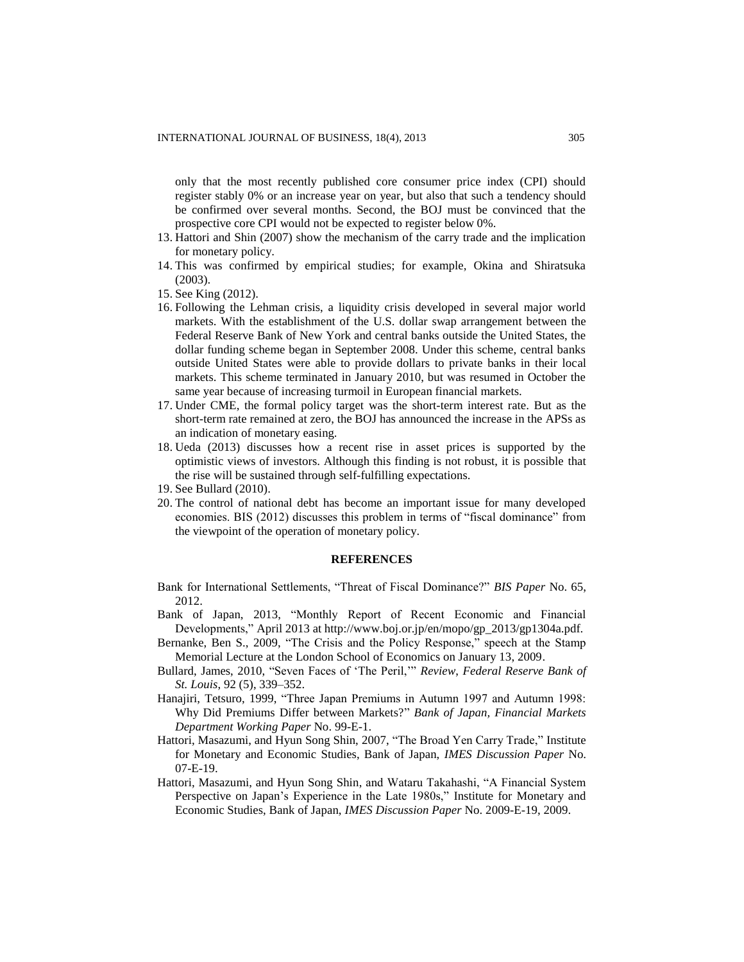only that the most recently published core consumer price index (CPI) should register stably 0% or an increase year on year, but also that such a tendency should be confirmed over several months. Second, the BOJ must be convinced that the prospective core CPI would not be expected to register below 0%.

- 13. Hattori and Shin (2007) show the mechanism of the carry trade and the implication for monetary policy.
- 14. This was confirmed by empirical studies; for example, Okina and Shiratsuka (2003).
- 15. See King (2012).
- 16. Following the Lehman crisis, a liquidity crisis developed in several major world markets. With the establishment of the U.S. dollar swap arrangement between the Federal Reserve Bank of New York and central banks outside the United States, the dollar funding scheme began in September 2008. Under this scheme, central banks outside United States were able to provide dollars to private banks in their local markets. This scheme terminated in January 2010, but was resumed in October the same year because of increasing turmoil in European financial markets.
- 17. Under CME, the formal policy target was the short-term interest rate. But as the short-term rate remained at zero, the BOJ has announced the increase in the APSs as an indication of monetary easing.
- 18. Ueda (2013) discusses how a recent rise in asset prices is supported by the optimistic views of investors. Although this finding is not robust, it is possible that the rise will be sustained through self-fulfilling expectations.
- 19. See Bullard (2010).
- 20. The control of national debt has become an important issue for many developed economies. BIS (2012) discusses this problem in terms of "fiscal dominance" from the viewpoint of the operation of monetary policy.

#### **REFERENCES**

- Bank for International Settlements, "Threat of Fiscal Dominance?" *BIS Paper* No. 65, 2012.
- Bank of Japan, 2013, "Monthly Report of Recent Economic and Financial Developments," April 2013 at http://www.boj.or.jp/en/mopo/gp\_2013/gp1304a.pdf.
- Bernanke, Ben S., 2009, "The Crisis and the Policy Response," speech at the Stamp Memorial Lecture at the London School of Economics on January 13, 2009.
- Bullard, James, 2010, "Seven Faces of 'The Peril,'" *Review*, *Federal Reserve Bank of St. Louis*, 92 (5), 339–352.
- Hanajiri, Tetsuro, 1999, "Three Japan Premiums in Autumn 1997 and Autumn 1998: Why Did Premiums Differ between Markets?" *Bank of Japan, Financial Markets Department Working Paper* No. 99-E-1.
- Hattori, Masazumi, and Hyun Song Shin, 2007, "The Broad Yen Carry Trade," Institute for Monetary and Economic Studies, Bank of Japan, *IMES Discussion Paper* No. 07-E-19.
- Hattori, Masazumi, and Hyun Song Shin, and Wataru Takahashi, "A Financial System Perspective on Japan's Experience in the Late 1980s," Institute for Monetary and Economic Studies, Bank of Japan, *IMES Discussion Paper* No. 2009-E-19, 2009.